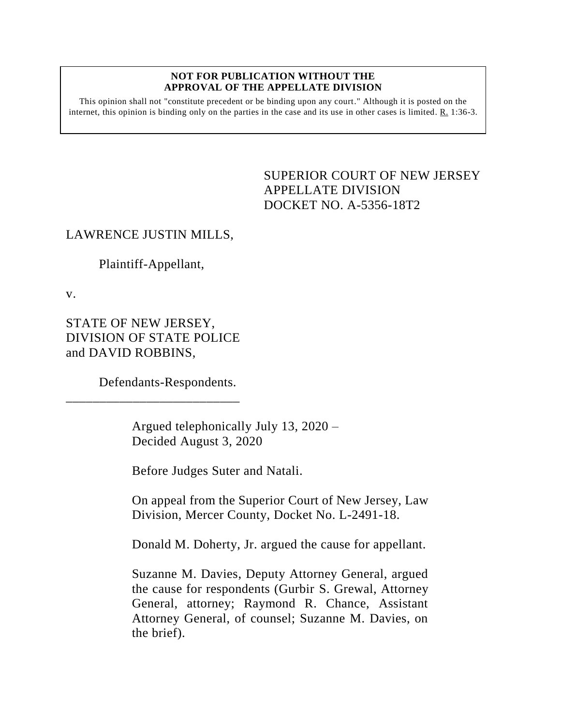#### **NOT FOR PUBLICATION WITHOUT THE APPROVAL OF THE APPELLATE DIVISION**

This opinion shall not "constitute precedent or be binding upon any court." Although it is posted on the internet, this opinion is binding only on the parties in the case and its use in other cases is limited. R. 1:36-3.

# <span id="page-0-0"></span>SUPERIOR COURT OF NEW JERSEY APPELLATE DIVISION DOCKET NO. A-5356-18T2

# LAWRENCE JUSTIN MILLS,

# Plaintiff-Appellant,

v.

STATE OF NEW JERSEY, DIVISION OF STATE POLICE and DAVID ROBBINS,

\_\_\_\_\_\_\_\_\_\_\_\_\_\_\_\_\_\_\_\_\_\_\_\_\_\_

Defendants-Respondents.

Argued telephonically July 13, 2020 – Decided August 3, 2020

Before Judges Suter and Natali.

On appeal from the Superior Court of New Jersey, Law Division, Mercer County, Docket No. L-2491-18.

Donald M. Doherty, Jr. argued the cause for appellant.

Suzanne M. Davies, Deputy Attorney General, argued the cause for respondents (Gurbir S. Grewal, Attorney General, attorney; Raymond R. Chance, Assistant Attorney General, of counsel; Suzanne M. Davies, on the brief).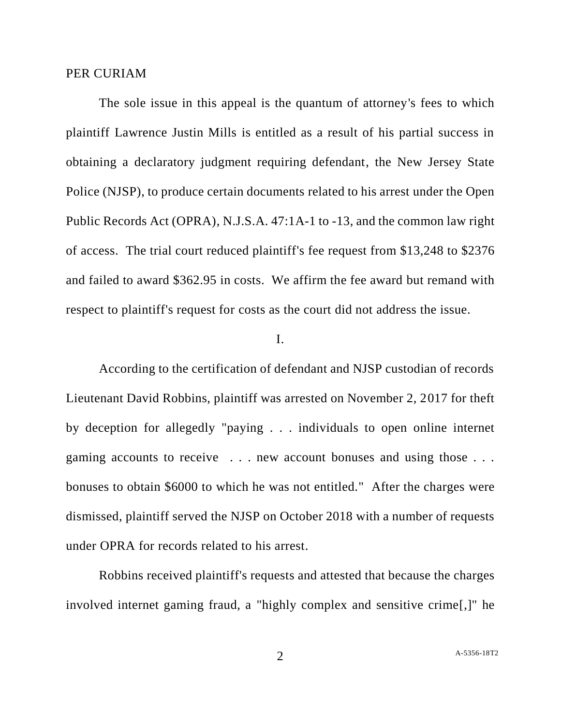#### PER CURIAM

The sole issue in this appeal is the quantum of attorney's fees to which plaintiff Lawrence Justin Mills is entitled as a result of his partial success in obtaining a declaratory judgment requiring defendant, the New Jersey State Police (NJSP), to produce certain documents related to his arrest under the Open Public Records Act (OPRA), N.J.S.A. 47:1A-1 to -13, and the common law right of access. The trial court reduced plaintiff's fee request from \$13,248 to \$2376 and failed to award \$362.95 in costs. We affirm the fee award but remand with respect to plaintiff's request for costs as the court did not address the issue.

### I.

According to the certification of defendant and NJSP custodian of records Lieutenant David Robbins, plaintiff was arrested on November 2, 2017 for theft by deception for allegedly "paying . . . individuals to open online internet gaming accounts to receive . . . new account bonuses and using those . . . bonuses to obtain \$6000 to which he was not entitled." After the charges were dismissed, plaintiff served the NJSP on October 2018 with a number of requests under OPRA for records related to his arrest.

Robbins received plaintiff's requests and attested that because the charges involved internet gaming fraud, a "highly complex and sensitive crime[,]" he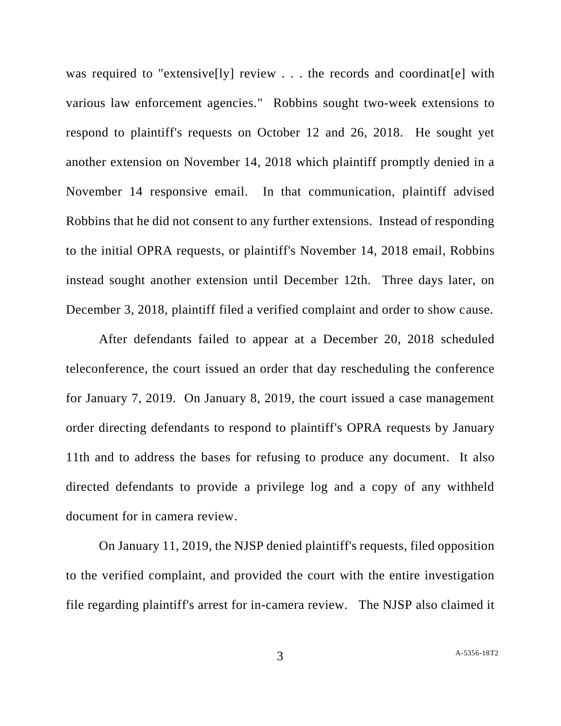was required to "extensive[ly] review . . . the records and coordinat [e] with various law enforcement agencies." Robbins sought two-week extensions to respond to plaintiff's requests on October 12 and 26, 2018. He sought yet another extension on November 14, 2018 which plaintiff promptly denied in a November 14 responsive email. In that communication, plaintiff advised Robbins that he did not consent to any further extensions. Instead of responding to the initial OPRA requests, or plaintiff's November 14, 2018 email, Robbins instead sought another extension until December 12th. Three days later, on December 3, 2018, plaintiff filed a verified complaint and order to show cause.

After defendants failed to appear at a December 20, 2018 scheduled teleconference, the court issued an order that day rescheduling the conference for January 7, 2019. On January 8, 2019, the court issued a case management order directing defendants to respond to plaintiff's OPRA requests by January 11th and to address the bases for refusing to produce any document. It also directed defendants to provide a privilege log and a copy of any withheld document for in camera review.

On January 11, 2019, the NJSP denied plaintiff's requests, filed opposition to the verified complaint, and provided the court with the entire investigation file regarding plaintiff's arrest for in-camera review. The NJSP also claimed it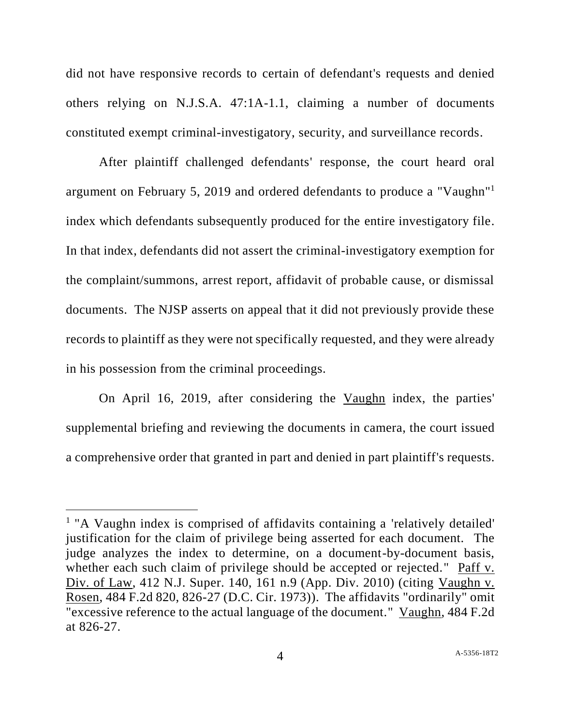did not have responsive records to certain of defendant's requests and denied others relying on N.J.S.A. 47:1A-1.1, claiming a number of documents constituted exempt criminal-investigatory, security, and surveillance records.

After plaintiff challenged defendants' response, the court heard oral argument on February 5, 2019 and ordered defendants to produce a "Vaughn"<sup>1</sup> index which defendants subsequently produced for the entire investigatory file. In that index, defendants did not assert the criminal-investigatory exemption for the complaint/summons, arrest report, affidavit of probable cause, or dismissal documents. The NJSP asserts on appeal that it did not previously provide these records to plaintiff as they were not specifically requested, and they were already in his possession from the criminal proceedings.

On April 16, 2019, after considering the Vaughn index, the parties' supplemental briefing and reviewing the documents in camera, the court issued a comprehensive order that granted in part and denied in part plaintiff's requests.

l

<sup>&</sup>lt;sup>1</sup> "A Vaughn index is comprised of affidavits containing a 'relatively detailed' justification for the claim of privilege being asserted for each document. The judge analyzes the index to determine, on a document-by-document basis, whether each such claim of privilege should be accepted or rejected." Paff v. Div. of Law, 412 N.J. Super. 140, 161 n.9 (App. Div. 2010) (citing Vaughn v. Rosen, 484 F.2d 820, 826-27 (D.C. Cir. 1973)). The affidavits "ordinarily" omit "excessive reference to the actual language of the document." Vaughn, 484 F.2d at 826-27.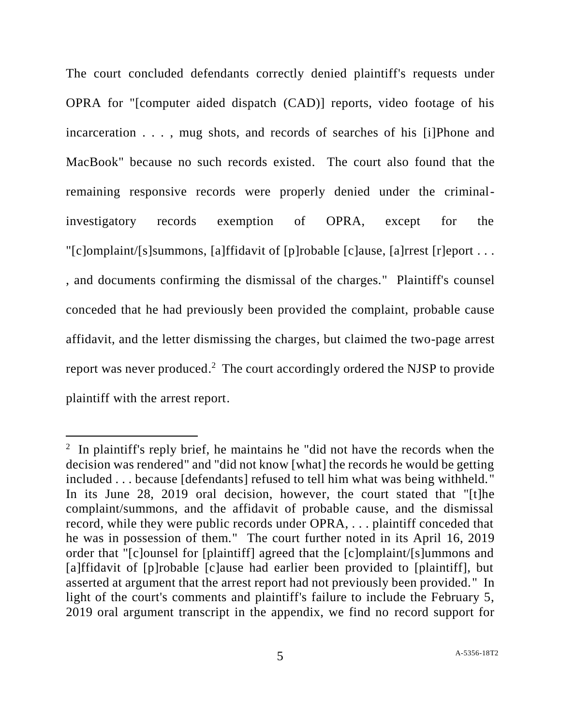The court concluded defendants correctly denied plaintiff's requests under OPRA for "[computer aided dispatch (CAD)] reports, video footage of his incarceration . . . , mug shots, and records of searches of his [i]Phone and MacBook" because no such records existed. The court also found that the remaining responsive records were properly denied under the criminalinvestigatory records exemption of OPRA, except for the "[c]omplaint/[s]summons, [a]ffidavit of [p]robable [c]ause, [a]rrest [r]eport . . . , and documents confirming the dismissal of the charges." Plaintiff's counsel conceded that he had previously been provided the complaint, probable cause affidavit, and the letter dismissing the charges, but claimed the two-page arrest report was never produced.<sup>2</sup> The court accordingly ordered the NJSP to provide plaintiff with the arrest report.

 $\overline{a}$ 

<sup>&</sup>lt;sup>2</sup> In plaintiff's reply brief, he maintains he "did not have the records when the decision was rendered" and "did not know [what] the records he would be getting included . . . because [defendants] refused to tell him what was being withheld." In its June 28, 2019 oral decision, however, the court stated that "[t]he complaint/summons, and the affidavit of probable cause, and the dismissal record, while they were public records under OPRA, . . . plaintiff conceded that he was in possession of them." The court further noted in its April 16, 2019 order that "[c]ounsel for [plaintiff] agreed that the [c]omplaint/[s]ummons and [a]ffidavit of [p]robable [c]ause had earlier been provided to [plaintiff], but asserted at argument that the arrest report had not previously been provided." In light of the court's comments and plaintiff's failure to include the February 5, 2019 oral argument transcript in the appendix, we find no record support for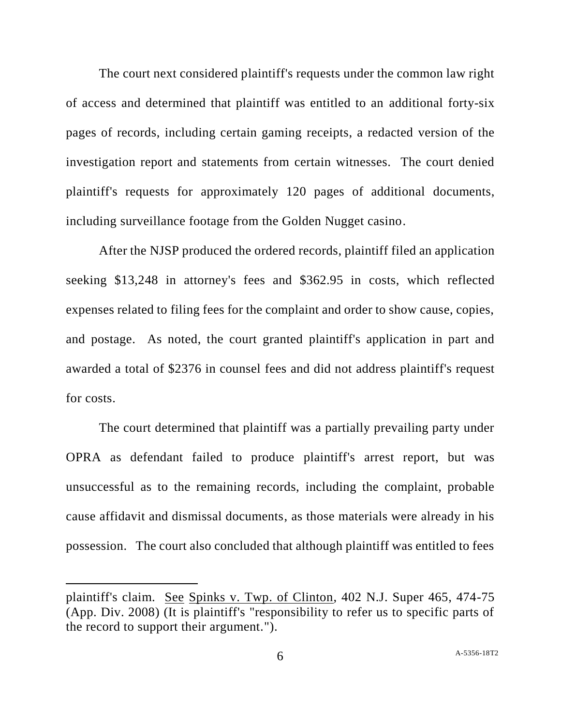The court next considered plaintiff's requests under the common law right of access and determined that plaintiff was entitled to an additional forty-six pages of records, including certain gaming receipts, a redacted version of the investigation report and statements from certain witnesses. The court denied plaintiff's requests for approximately 120 pages of additional documents, including surveillance footage from the Golden Nugget casino.

After the NJSP produced the ordered records, plaintiff filed an application seeking \$13,248 in attorney's fees and \$362.95 in costs, which reflected expenses related to filing fees for the complaint and order to show cause, copies, and postage. As noted, the court granted plaintiff's application in part and awarded a total of \$2376 in counsel fees and did not address plaintiff's request for costs.

The court determined that plaintiff was a partially prevailing party under OPRA as defendant failed to produce plaintiff's arrest report, but was unsuccessful as to the remaining records, including the complaint, probable cause affidavit and dismissal documents, as those materials were already in his possession. The court also concluded that although plaintiff was entitled to fees

l

plaintiff's claim. See Spinks v. Twp. of Clinton, 402 N.J. Super 465, 474-75 (App. Div. 2008) (It is plaintiff's "responsibility to refer us to specific parts of the record to support their argument.").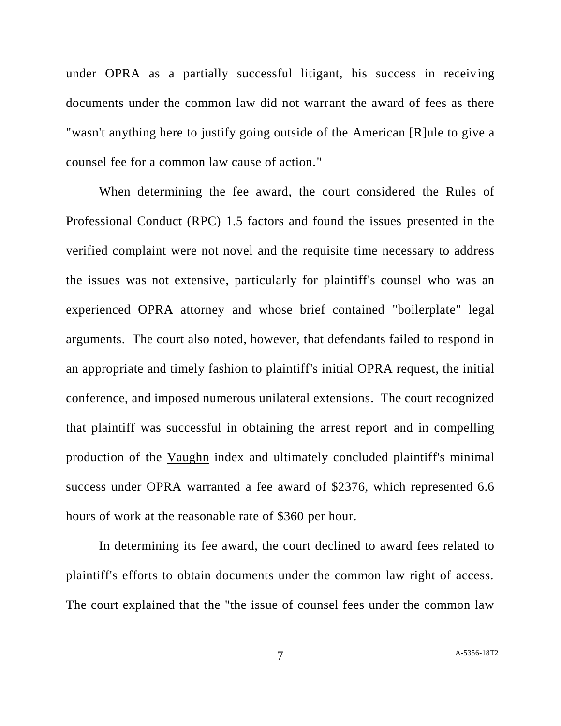under OPRA as a partially successful litigant, his success in receiving documents under the common law did not warrant the award of fees as there "wasn't anything here to justify going outside of the American [R]ule to give a counsel fee for a common law cause of action."

When determining the fee award, the court considered the Rules of Professional Conduct (RPC) 1.5 factors and found the issues presented in the verified complaint were not novel and the requisite time necessary to address the issues was not extensive, particularly for plaintiff's counsel who was an experienced OPRA attorney and whose brief contained "boilerplate" legal arguments. The court also noted, however, that defendants failed to respond in an appropriate and timely fashion to plaintiff's initial OPRA request, the initial conference, and imposed numerous unilateral extensions. The court recognized that plaintiff was successful in obtaining the arrest report and in compelling production of the Vaughn index and ultimately concluded plaintiff's minimal success under OPRA warranted a fee award of \$2376, which represented 6.6 hours of work at the reasonable rate of \$360 per hour.

In determining its fee award, the court declined to award fees related to plaintiff's efforts to obtain documents under the common law right of access. The court explained that the "the issue of counsel fees under the common law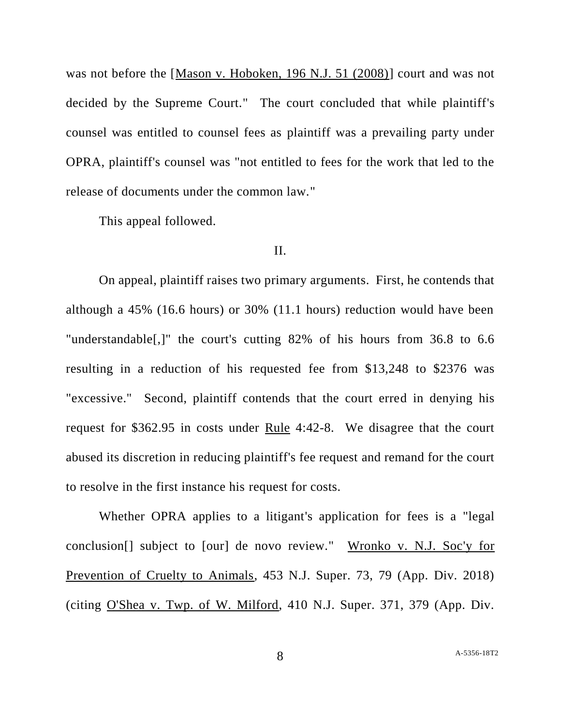was not before the [Mason v. Hoboken, 196 N.J. 51 (2008)] court and was not decided by the Supreme Court." The court concluded that while plaintiff's counsel was entitled to counsel fees as plaintiff was a prevailing party under OPRA, plaintiff's counsel was "not entitled to fees for the work that led to the release of documents under the common law."

This appeal followed.

### II.

On appeal, plaintiff raises two primary arguments. First, he contends that although a 45% (16.6 hours) or 30% (11.1 hours) reduction would have been "understandable[,]" the court's cutting 82% of his hours from 36.8 to 6.6 resulting in a reduction of his requested fee from \$13,248 to \$2376 was "excessive." Second, plaintiff contends that the court erred in denying his request for \$362.95 in costs under Rule 4:42-8. We disagree that the court abused its discretion in reducing plaintiff's fee request and remand for the court to resolve in the first instance his request for costs.

Whether OPRA applies to a litigant's application for fees is a "legal conclusion[] subject to [our] de novo review." Wronko v. N.J. Soc'y for Prevention of Cruelty to Animals, 453 N.J. Super. 73, 79 (App. Div. 2018) (citing O'Shea v. Twp. of W. Milford, 410 N.J. Super. 371, 379 (App. Div.

8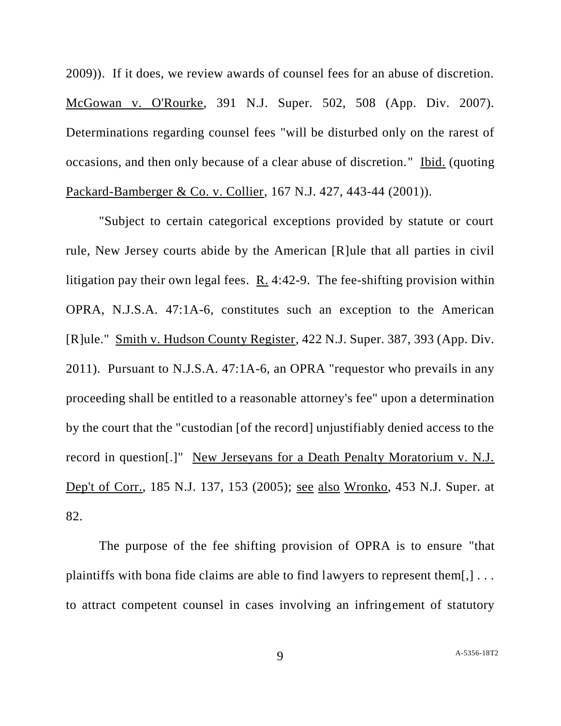2009)). If it does, we review awards of counsel fees for an abuse of discretion. McGowan v. O'Rourke, 391 N.J. Super. 502, 508 (App. Div. 2007). Determinations regarding counsel fees "will be disturbed only on the rarest of occasions, and then only because of a clear abuse of discretion." Ibid. (quoting Packard-Bamberger & Co. v. Collier, 167 N.J. 427, 443-44 (2001)).

"Subject to certain categorical exceptions provided by statute or court rule, New Jersey courts abide by the American [R]ule that all parties in civil litigation pay their own legal fees.  $R_1$ . 4:42-9. The fee-shifting provision within OPRA, N.J.S.A. 47:1A-6, constitutes such an exception to the American [R]ule." Smith v. Hudson County Register, 422 N.J. Super. 387, 393 (App. Div. 2011). Pursuant to N.J.S.A. 47:1A-6, an OPRA "requestor who prevails in any proceeding shall be entitled to a reasonable attorney's fee" upon a determination by the court that the "custodian [of the record] unjustifiably denied access to the record in question[.]" New Jerseyans for a Death Penalty Moratorium v. N.J. Dep't of Corr., 185 N.J. 137, 153 (2005); see also Wronko, 453 N.J. Super. at 82.

The purpose of the fee shifting provision of OPRA is to ensure "that plaintiffs with bona fide claims are able to find lawyers to represent them[,] . . . to attract competent counsel in cases involving an infringement of statutory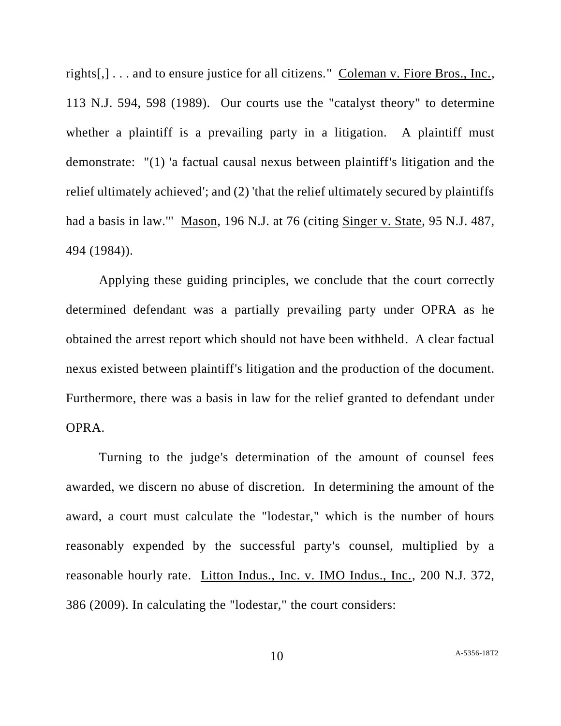rights[,] . . . and to ensure justice for all citizens." Coleman v. Fiore Bros., Inc., 113 N.J. 594, 598 (1989). Our courts use the "catalyst theory" to determine whether a plaintiff is a prevailing party in a litigation. A plaintiff must demonstrate: "(1) 'a factual causal nexus between plaintiff's litigation and the relief ultimately achieved'; and (2) 'that the relief ultimately secured by plaintiffs had a basis in law.'" Mason, 196 N.J. at 76 (citing Singer v. State, 95 N.J. 487, 494 (1984)).

Applying these guiding principles, we conclude that the court correctly determined defendant was a partially prevailing party under OPRA as he obtained the arrest report which should not have been withheld. A clear factual nexus existed between plaintiff's litigation and the production of the document. Furthermore, there was a basis in law for the relief granted to defendant under OPRA.

Turning to the judge's determination of the amount of counsel fees awarded, we discern no abuse of discretion. In determining the amount of the award, a court must calculate the "lodestar," which is the number of hours reasonably expended by the successful party's counsel, multiplied by a reasonable hourly rate. Litton Indus., Inc. v. IMO Indus., Inc., 200 N.J. 372, 386 (2009). In calculating the "lodestar," the court considers: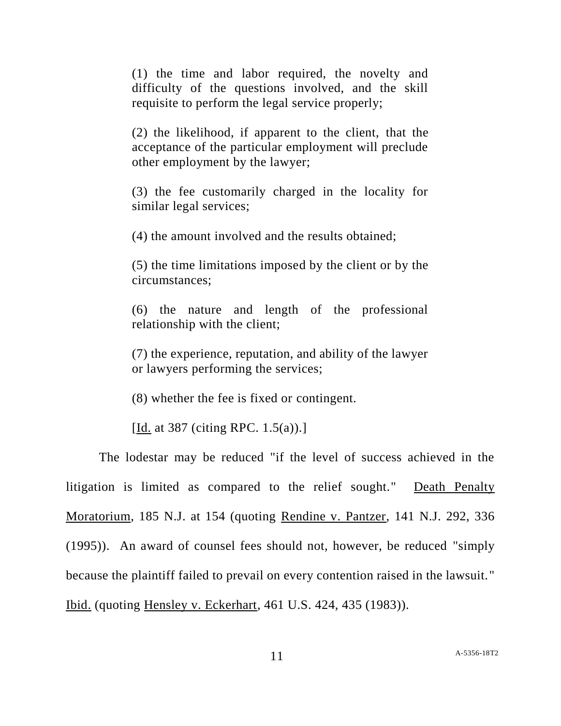(1) the time and labor required, the novelty and difficulty of the questions involved, and the skill requisite to perform the legal service properly;

(2) the likelihood, if apparent to the client, that the acceptance of the particular employment will preclude other employment by the lawyer;

(3) the fee customarily charged in the locality for similar legal services;

(4) the amount involved and the results obtained;

(5) the time limitations imposed by the client or by the circumstances;

(6) the nature and length of the professional relationship with the client;

(7) the experience, reputation, and ability of the lawyer or lawyers performing the services;

(8) whether the fee is fixed or contingent.

[Id. at 387 (citing RPC. 1.5(a)).]

The lodestar may be reduced "if the level of success achieved in the litigation is limited as compared to the relief sought." Death Penalty Moratorium, 185 N.J. at 154 (quoting Rendine v. Pantzer, 141 N.J. 292, 336 (1995)). An award of counsel fees should not, however, be reduced "simply because the plaintiff failed to prevail on every contention raised in the lawsuit." Ibid. (quoting Hensley v. Eckerhart, 461 U.S. 424, 435 (1983)).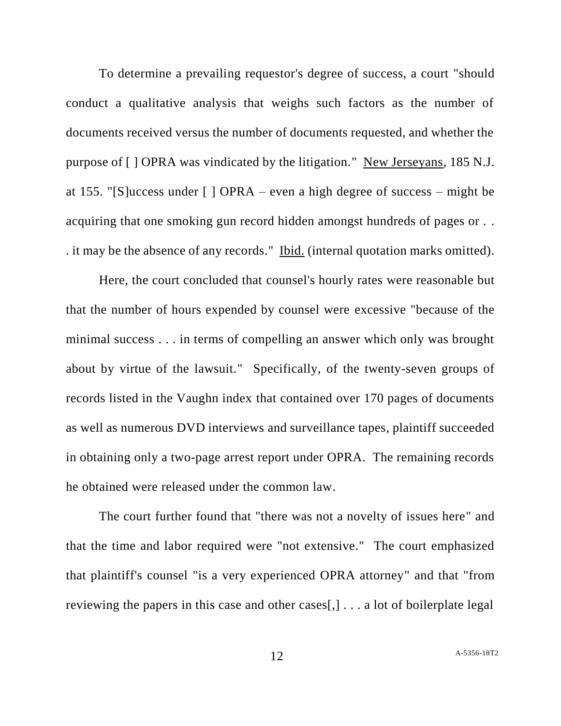To determine a prevailing requestor's degree of success, a court "should conduct a qualitative analysis that weighs such factors as the number of documents received versus the number of documents requested, and whether the purpose of [ ] OPRA was vindicated by the litigation." New Jerseyans, 185 N.J. at 155. "[S]uccess under [ ] OPRA – even a high degree of success – might be acquiring that one smoking gun record hidden amongst hundreds of pages or . . . it may be the absence of any records." Ibid. (internal quotation marks omitted).

Here, the court concluded that counsel's hourly rates were reasonable but that the number of hours expended by counsel were excessive "because of the minimal success . . . in terms of compelling an answer which only was brought about by virtue of the lawsuit." Specifically, of the twenty-seven groups of records listed in the Vaughn index that contained over 170 pages of documents as well as numerous DVD interviews and surveillance tapes, plaintiff succeeded in obtaining only a two-page arrest report under OPRA. The remaining records he obtained were released under the common law.

The court further found that "there was not a novelty of issues here" and that the time and labor required were "not extensive." The court emphasized that plaintiff's counsel "is a very experienced OPRA attorney" and that "from reviewing the papers in this case and other cases[,] . . . a lot of boilerplate legal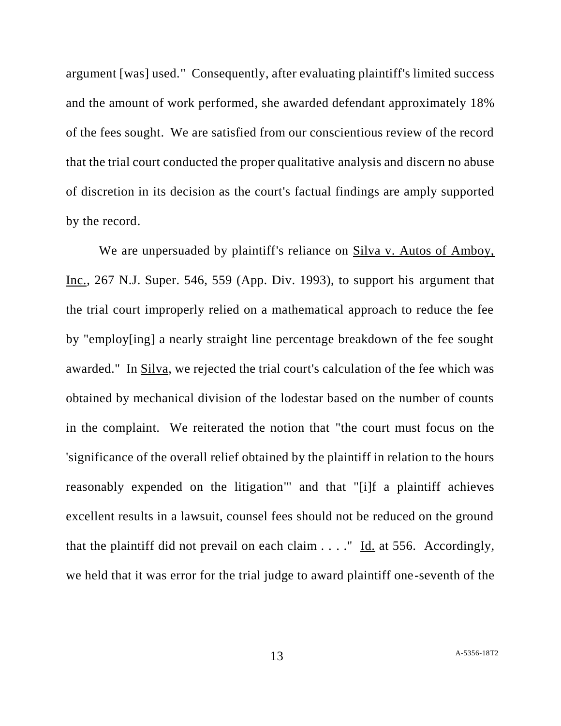argument [was] used." Consequently, after evaluating plaintiff's limited success and the amount of work performed, she awarded defendant approximately 18% of the fees sought. We are satisfied from our conscientious review of the record that the trial court conducted the proper qualitative analysis and discern no abuse of discretion in its decision as the court's factual findings are amply supported by the record.

We are unpersuaded by plaintiff's reliance on Silva v. Autos of Amboy, Inc., 267 N.J. Super. 546, 559 (App. Div. 1993), to support his argument that the trial court improperly relied on a mathematical approach to reduce the fee by "employ[ing] a nearly straight line percentage breakdown of the fee sought awarded." In Silva, we rejected the trial court's calculation of the fee which was obtained by mechanical division of the lodestar based on the number of counts in the complaint. We reiterated the notion that "the court must focus on the 'significance of the overall relief obtained by the plaintiff in relation to the hours reasonably expended on the litigation'" and that "[i]f a plaintiff achieves excellent results in a lawsuit, counsel fees should not be reduced on the ground that the plaintiff did not prevail on each claim . . . ." Id. at 556. Accordingly, we held that it was error for the trial judge to award plaintiff one-seventh of the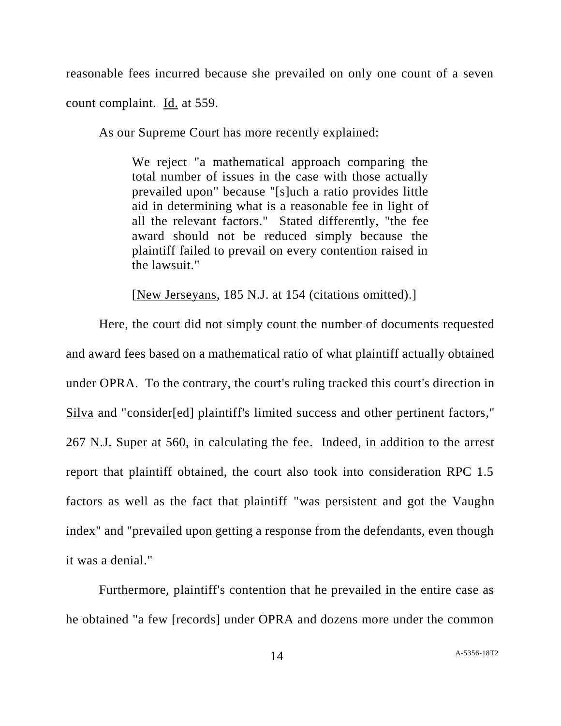reasonable fees incurred because she prevailed on only one count of a seven

count complaint. Id. at 559.

As our Supreme Court has more recently explained:

We reject "a mathematical approach comparing the total number of issues in the case with those actually prevailed upon" because "[s]uch a ratio provides little aid in determining what is a reasonable fee in light of all the relevant factors." Stated differently, "the fee award should not be reduced simply because the plaintiff failed to prevail on every contention raised in the lawsuit."

[New Jerseyans, 185 N.J. at 154 (citations omitted).]

Here, the court did not simply count the number of documents requested and award fees based on a mathematical ratio of what plaintiff actually obtained under OPRA. To the contrary, the court's ruling tracked this court's direction in Silva and "consider[ed] plaintiff's limited success and other pertinent factors," 267 N.J. Super at 560, in calculating the fee. Indeed, in addition to the arrest report that plaintiff obtained, the court also took into consideration RPC 1.5 factors as well as the fact that plaintiff "was persistent and got the Vaughn index" and "prevailed upon getting a response from the defendants, even though it was a denial."

Furthermore, plaintiff's contention that he prevailed in the entire case as he obtained "a few [records] under OPRA and dozens more under the common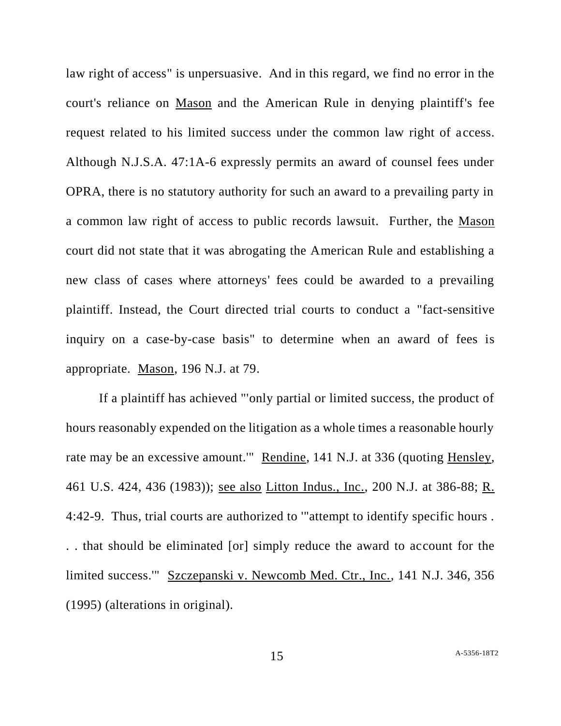law right of access" is unpersuasive. And in this regard, we find no error in the court's reliance on Mason and the American Rule in denying plaintiff's fee request related to his limited success under the common law right of access. Although N.J.S.A. 47:1A-6 expressly permits an award of counsel fees under OPRA, there is no statutory authority for such an award to a prevailing party in a common law right of access to public records lawsuit. Further, the Mason court did not state that it was abrogating the American Rule and establishing a new class of cases where attorneys' fees could be awarded to a prevailing plaintiff. Instead, the Court directed trial courts to conduct a "fact-sensitive inquiry on a case-by-case basis" to determine when an award of fees is appropriate. Mason, 196 N.J. at 79.

If a plaintiff has achieved "'only partial or limited success, the product of hours reasonably expended on the litigation as a whole times a reasonable hourly rate may be an excessive amount.'" Rendine, 141 N.J. at 336 (quoting Hensley, 461 U.S. 424, 436 (1983)); see also Litton Indus., Inc., 200 N.J. at 386-88; R. 4:42-9. Thus, trial courts are authorized to '"attempt to identify specific hours . . . that should be eliminated [or] simply reduce the award to account for the limited success.'" Szczepanski v. Newcomb Med. Ctr., Inc., 141 N.J. 346, 356 (1995) (alterations in original).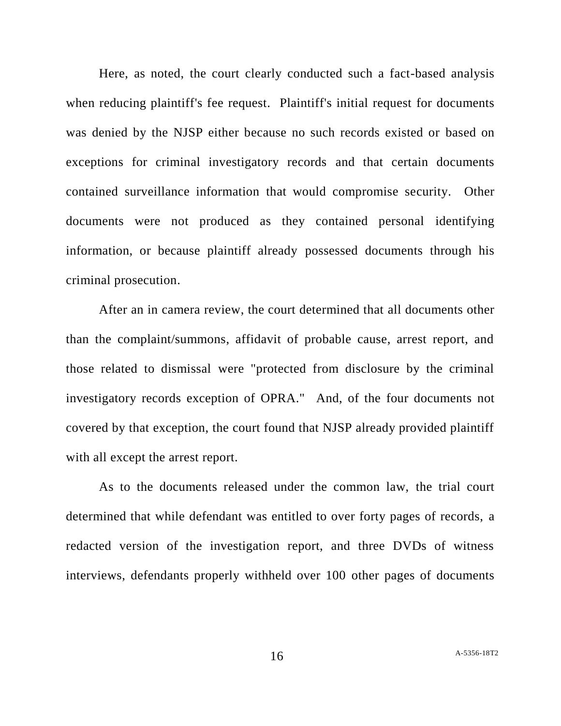Here, as noted, the court clearly conducted such a fact-based analysis when reducing plaintiff's fee request. Plaintiff's initial request for documents was denied by the NJSP either because no such records existed or based on exceptions for criminal investigatory records and that certain documents contained surveillance information that would compromise security. Other documents were not produced as they contained personal identifying information, or because plaintiff already possessed documents through his criminal prosecution.

After an in camera review, the court determined that all documents other than the complaint/summons, affidavit of probable cause, arrest report, and those related to dismissal were "protected from disclosure by the criminal investigatory records exception of OPRA." And, of the four documents not covered by that exception, the court found that NJSP already provided plaintiff with all except the arrest report.

As to the documents released under the common law, the trial court determined that while defendant was entitled to over forty pages of records, a redacted version of the investigation report, and three DVDs of witness interviews, defendants properly withheld over 100 other pages of documents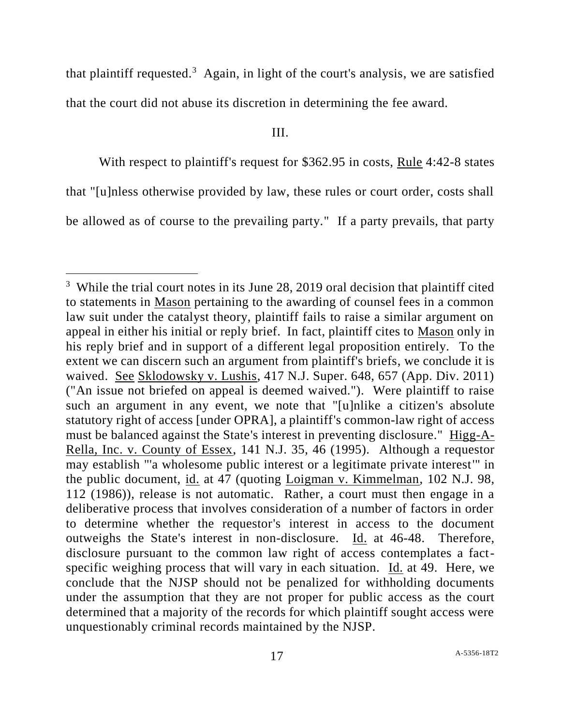that plaintiff requested.<sup>3</sup> Again, in light of the court's analysis, we are satisfied that the court did not abuse its discretion in determining the fee award.

### III.

With respect to plaintiff's request for \$362.95 in costs, Rule 4:42-8 states

that "[u]nless otherwise provided by law, these rules or court order, costs shall

be allowed as of course to the prevailing party." If a party prevails, that party

l

<sup>&</sup>lt;sup>3</sup> While the trial court notes in its June 28, 2019 oral decision that plaintiff cited to statements in Mason pertaining to the awarding of counsel fees in a common law suit under the catalyst theory, plaintiff fails to raise a similar argument on appeal in either his initial or reply brief. In fact, plaintiff cites to Mason only in his reply brief and in support of a different legal proposition entirely. To the extent we can discern such an argument from plaintiff's briefs, we conclude it is waived. See Sklodowsky v. Lushis, 417 N.J. Super. 648, 657 (App. Div. 2011) ("An issue not briefed on appeal is deemed waived."). Were plaintiff to raise such an argument in any event, we note that "[u]nlike a citizen's absolute statutory right of access [under OPRA], a plaintiff's common-law right of access must be balanced against the State's interest in preventing disclosure." Higg-A-Rella, Inc. v. County of Essex, 141 N.J. 35, 46 (1995). Although a requestor may establish "'a wholesome public interest or a legitimate private interest'" in the public document, id. at 47 (quoting Loigman v. Kimmelman, 102 N.J. 98, 112 (1986)), release is not automatic. Rather, a court must then engage in a deliberative process that involves consideration of a number of factors in order to determine whether the requestor's interest in access to the document outweighs the State's interest in non-disclosure. Id. at 46-48. Therefore, disclosure pursuant to the common law right of access contemplates a factspecific weighing process that will vary in each situation. Id. at 49. Here, we conclude that the NJSP should not be penalized for withholding documents under the assumption that they are not proper for public access as the court determined that a majority of the records for which plaintiff sought access were unquestionably criminal records maintained by the NJSP.